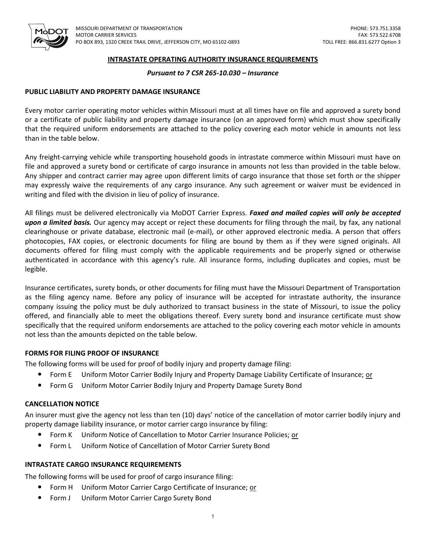

# **INTRASTATE OPERATING AUTHORITY INSURANCE REQUIREMENTS**

## *Pursuant to 7 CSR 265-10.030 – Insurance*

# **PUBLIC LIABILITY AND PROPERTY DAMAGE INSURANCE**

Every motor carrier operating motor vehicles within Missouri must at all times have on file and approved a surety bond or a certificate of public liability and property damage insurance (on an approved form) which must show specifically that the required uniform endorsements are attached to the policy covering each motor vehicle in amounts not less than in the table below.

Any freight-carrying vehicle while transporting household goods in intrastate commerce within Missouri must have on file and approved a surety bond or certificate of cargo insurance in amounts not less than provided in the table below. Any shipper and contract carrier may agree upon different limits of cargo insurance that those set forth or the shipper may expressly waive the requirements of any cargo insurance. Any such agreement or waiver must be evidenced in writing and filed with the division in lieu of policy of insurance.

All filings must be delivered electronically via MoDOT Carrier Express. *Faxed and mailed copies will only be accepted upon a limited basis.* Our agency may accept or reject these documents for filing through the mail, by fax, any national clearinghouse or private database, electronic mail (e-mail), or other approved electronic media. A person that offers photocopies, FAX copies, or electronic documents for filing are bound by them as if they were signed originals. All documents offered for filing must comply with the applicable requirements and be properly signed or otherwise authenticated in accordance with this agency's rule. All insurance forms, including duplicates and copies, must be legible.

Insurance certificates, surety bonds, or other documents for filing must have the Missouri Department of Transportation as the filing agency name. Before any policy of insurance will be accepted for intrastate authority, the insurance company issuing the policy must be duly authorized to transact business in the state of Missouri, to issue the policy offered, and financially able to meet the obligations thereof. Every surety bond and insurance certificate must show specifically that the required uniform endorsements are attached to the policy covering each motor vehicle in amounts not less than the amounts depicted on the table below.

# **FORMS FOR FILING PROOF OF INSURANCE**

The following forms will be used for proof of bodily injury and property damage filing:

- Form E Uniform Motor Carrier Bodily Injury and Property Damage Liability Certificate of Insurance; or
- **•** Form G Uniform Motor Carrier Bodily Injury and Property Damage Surety Bond

### **CANCELLATION NOTICE**

An insurer must give the agency not less than ten (10) days' notice of the cancellation of motor carrier bodily injury and property damage liability insurance, or motor carrier cargo insurance by filing:

- Form K Uniform Notice of Cancellation to Motor Carrier Insurance Policies; or
- Form L Uniform Notice of Cancellation of Motor Carrier Surety Bond

### **INTRASTATE CARGO INSURANCE REQUIREMENTS**

The following forms will be used for proof of cargo insurance filing:

- Form H Uniform Motor Carrier Cargo Certificate of Insurance; or
- Form J Uniform Motor Carrier Cargo Surety Bond